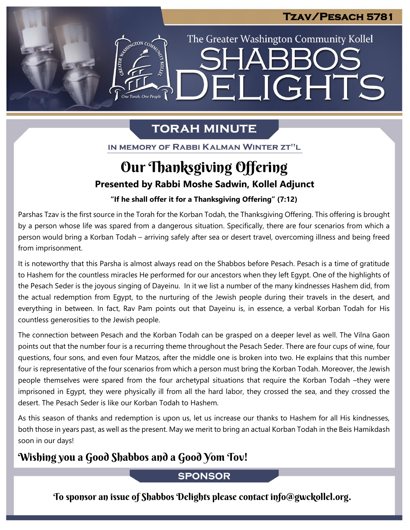The Greater Washington Community Kollel

ELIGHTS

# **TORAH MINUTE**

IN MEMORY OF RABBI KALMAN WINTER ZT"L

# **Presented by Rabbi Moshe Sadwin, Kollel Adjunct** Our Thanksgiving Offering

## "If he shall offer it for a Thanksgiving Offering" (7:12)

Parshas Tzav is the first source in the Torah for the Korban Todah, the Thanksgiving Offering. This offering is brought by a person whose life was spared from a dangerous situation. Specifically, there are four scenarios from which a person would bring a Korban Todah – arriving safely after sea or desert travel, overcoming illness and being freed from imprisonment.

It is noteworthy that this Parsha is almost always read on the Shabbos before Pesach. Pesach is a time of gratitude to Hashem for the countless miracles He performed for our ancestors when they left Egypt. One of the highlights of the Pesach Seder is the joyous singing of Dayeinu. In it we list a number of the many kindnesses Hashem did, from the actual redemption from Egypt, to the nurturing of the Jewish people during their travels in the desert, and everything in between. In fact, Rav Pam points out that Dayeinu is, in essence, a verbal Korban Todah for His countless generosities to the Jewish people.

The connection between Pesach and the Korban Todah can be grasped on a deeper level as well. The Vilna Gaon points out that the number four is a recurring theme throughout the Pesach Seder. There are four cups of wine, four questions, four sons, and even four Matzos, after the middle one is broken into two. He explains that this number four is representative of the four scenarios from which a person must bring the Korban Todah. Moreover, the Jewish people themselves were spared from the four archetypal situations that require the Korban Todah –they were imprisoned in Egypt, they were physically ill from all the hard labor, they crossed the sea, and they crossed the desert. The Pesach Seder is like our Korban Todah to Hashem.

As this season of thanks and redemption is upon us, let us increase our thanks to Hashem for all His kindnesses, both those in years past, as well as the present. May we merit to bring an actual Korban Todah in the Beis Hamikdash soon in our days!

## Wishing you a Good Shabbos and a Good Yom Tov!

ASSEMBATON CO

### **SPONSOR**

To sponsor an issue of Shabbos Delights please contact info@gwckollel.org.